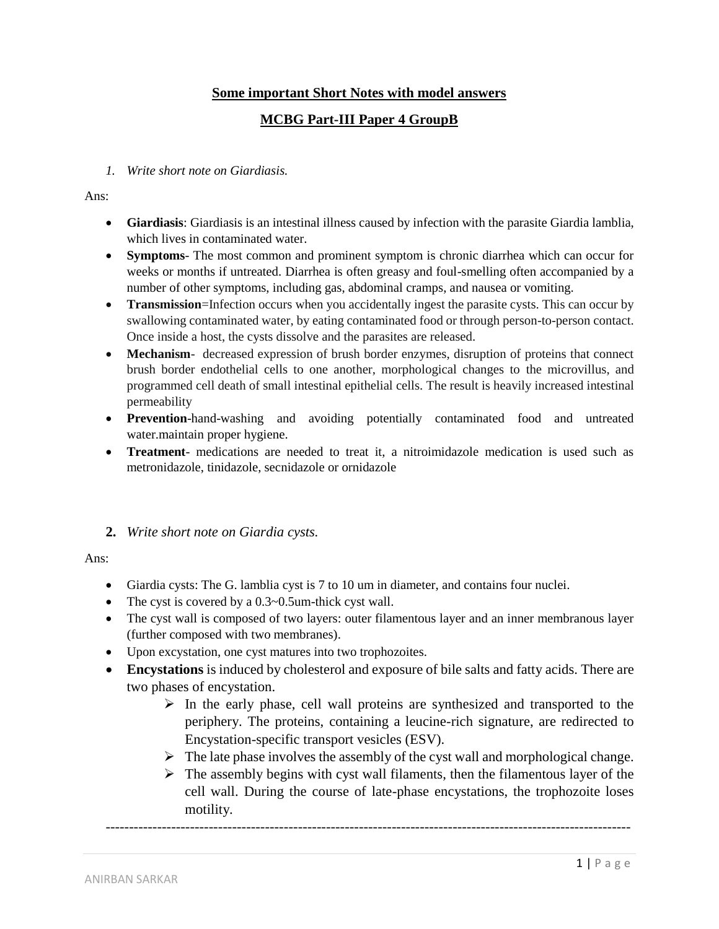# **Some important Short Notes with model answers**

# **MCBG Part-III Paper 4 GroupB**

*1. Write short note on Giardiasis.*

#### Ans:

- **Giardiasis**: Giardiasis is an intestinal illness caused by infection with the parasite Giardia lamblia, which lives in contaminated water.
- **Symptoms** The most common and prominent symptom is chronic diarrhea which can occur for weeks or months if untreated. Diarrhea is often greasy and foul-smelling often accompanied by a number of other symptoms, including gas, abdominal cramps, and nausea or vomiting.
- **Transmission**=Infection occurs when you accidentally ingest the parasite cysts. This can occur by swallowing contaminated water, by eating contaminated food or through person-to-person contact. Once inside a host, the cysts dissolve and the parasites are released.
- **Mechanism** decreased expression of brush border enzymes, disruption of proteins that connect brush border endothelial cells to one another, morphological changes to the microvillus, and programmed cell death of small intestinal epithelial cells. The result is heavily increased intestinal permeability
- **Prevention**-hand-washing and avoiding potentially contaminated food and untreated water.maintain proper hygiene.
- **Treatment** medications are needed to treat it, a nitroimidazole medication is used such as metronidazole, tinidazole, secnidazole or ornidazole

#### **2.** *Write short note on Giardia cysts.*

Ans:

- Giardia cysts: The G. lamblia cyst is 7 to 10 um in diameter, and contains four nuclei.
- The cyst is covered by a 0.3~0.5um-thick cyst wall.
- The cyst wall is composed of two layers: outer filamentous layer and an inner membranous layer (further composed with two membranes).
- Upon excystation, one cyst matures into two trophozoites.
- **Encystations** is induced by cholesterol and exposure of bile salts and fatty acids. There are two phases of encystation.

----------------------------------------------------------------------------------------------------------------

- $\triangleright$  In the early phase, cell wall proteins are synthesized and transported to the periphery. The proteins, containing a leucine-rich signature, are redirected to Encystation-specific transport vesicles (ESV).
- $\triangleright$  The late phase involves the assembly of the cyst wall and morphological change.
- $\triangleright$  The assembly begins with cyst wall filaments, then the filamentous layer of the cell wall. During the course of late-phase encystations, the trophozoite loses motility.

ANIRBAN SARKAR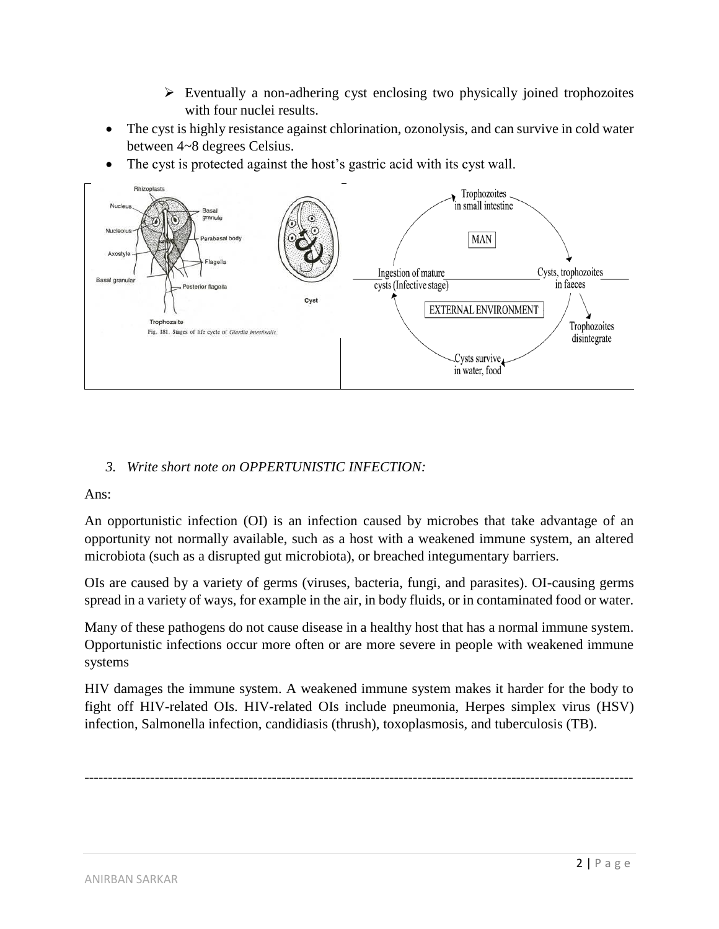- $\triangleright$  Eventually a non-adhering cyst enclosing two physically joined trophozoites with four nuclei results.
- The cyst is highly resistance against chlorination, ozonolysis, and can survive in cold water between 4~8 degrees Celsius.
- The cyst is protected against the host's gastric acid with its cyst wall.



# *3. Write short note on OPPERTUNISTIC INFECTION:*

Ans:

An opportunistic infection (OI) is an infection caused by microbes that take advantage of an opportunity not normally available, such as a host with a weakened immune system, an altered microbiota (such as a disrupted gut microbiota), or breached integumentary barriers.

OIs are caused by a variety of germs (viruses, bacteria, fungi, and parasites). OI-causing germs spread in a variety of ways, for example in the air, in body fluids, or in contaminated food or water.

Many of these pathogens do not cause disease in a healthy host that has a normal immune system. Opportunistic infections occur more often or are more severe in people with weakened immune systems

HIV damages the immune system. A weakened immune system makes it harder for the body to fight off HIV-related OIs. HIV-related OIs include pneumonia, Herpes simplex virus (HSV) infection, Salmonella infection, candidiasis (thrush), toxoplasmosis, and tuberculosis (TB).

---------------------------------------------------------------------------------------------------------------------